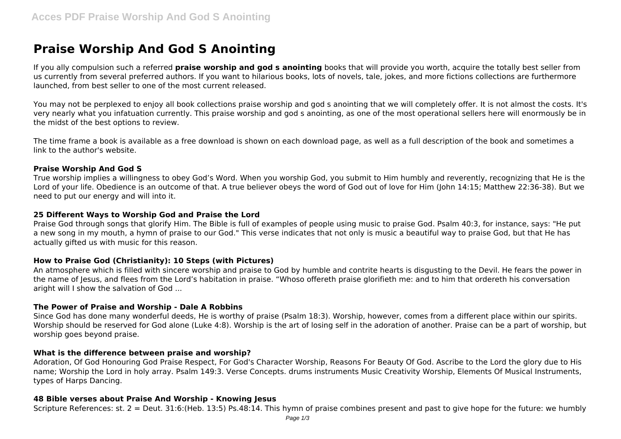# **Praise Worship And God S Anointing**

If you ally compulsion such a referred **praise worship and god s anointing** books that will provide you worth, acquire the totally best seller from us currently from several preferred authors. If you want to hilarious books, lots of novels, tale, jokes, and more fictions collections are furthermore launched, from best seller to one of the most current released.

You may not be perplexed to enjoy all book collections praise worship and god s anointing that we will completely offer. It is not almost the costs, It's very nearly what you infatuation currently. This praise worship and god s anointing, as one of the most operational sellers here will enormously be in the midst of the best options to review.

The time frame a book is available as a free download is shown on each download page, as well as a full description of the book and sometimes a link to the author's website.

#### **Praise Worship And God S**

True worship implies a willingness to obey God's Word. When you worship God, you submit to Him humbly and reverently, recognizing that He is the Lord of your life. Obedience is an outcome of that. A true believer obeys the word of God out of love for Him (John 14:15; Matthew 22:36-38). But we need to put our energy and will into it.

### **25 Different Ways to Worship God and Praise the Lord**

Praise God through songs that glorify Him. The Bible is full of examples of people using music to praise God. Psalm 40:3, for instance, says: "He put a new song in my mouth, a hymn of praise to our God." This verse indicates that not only is music a beautiful way to praise God, but that He has actually gifted us with music for this reason.

# **How to Praise God (Christianity): 10 Steps (with Pictures)**

An atmosphere which is filled with sincere worship and praise to God by humble and contrite hearts is disgusting to the Devil. He fears the power in the name of Jesus, and flees from the Lord's habitation in praise. "Whoso offereth praise glorifieth me: and to him that ordereth his conversation aright will I show the salvation of God ...

#### **The Power of Praise and Worship - Dale A Robbins**

Since God has done many wonderful deeds, He is worthy of praise (Psalm 18:3). Worship, however, comes from a different place within our spirits. Worship should be reserved for God alone (Luke 4:8). Worship is the art of losing self in the adoration of another. Praise can be a part of worship, but worship goes beyond praise.

# **What is the difference between praise and worship?**

Adoration, Of God Honouring God Praise Respect, For God's Character Worship, Reasons For Beauty Of God. Ascribe to the Lord the glory due to His name; Worship the Lord in holy array. Psalm 149:3. Verse Concepts. drums instruments Music Creativity Worship, Elements Of Musical Instruments, types of Harps Dancing.

#### **48 Bible verses about Praise And Worship - Knowing Jesus**

Scripture References: st. 2 = Deut. 31:6:(Heb. 13:5) Ps.48:14. This hymn of praise combines present and past to give hope for the future: we humbly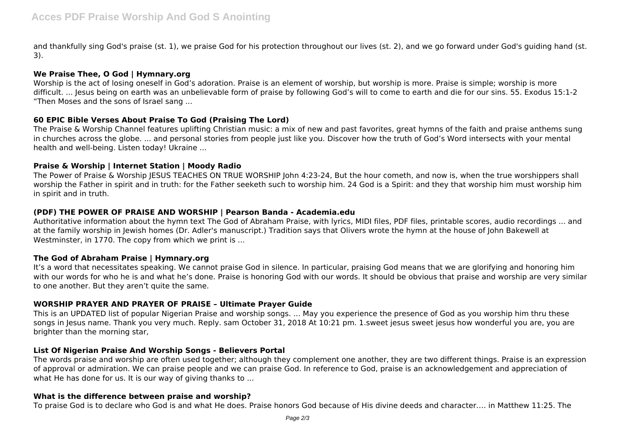and thankfully sing God's praise (st. 1), we praise God for his protection throughout our lives (st. 2), and we go forward under God's guiding hand (st. 3).

# **We Praise Thee, O God | Hymnary.org**

Worship is the act of losing oneself in God's adoration. Praise is an element of worship, but worship is more. Praise is simple; worship is more difficult. ... Jesus being on earth was an unbelievable form of praise by following God's will to come to earth and die for our sins. 55. Exodus 15:1-2 "Then Moses and the sons of Israel sang ...

# **60 EPIC Bible Verses About Praise To God (Praising The Lord)**

The Praise & Worship Channel features uplifting Christian music: a mix of new and past favorites, great hymns of the faith and praise anthems sung in churches across the globe. ... and personal stories from people just like you. Discover how the truth of God's Word intersects with your mental health and well-being. Listen today! Ukraine ...

# **Praise & Worship | Internet Station | Moody Radio**

The Power of Praise & Worship JESUS TEACHES ON TRUE WORSHIP John 4:23-24, But the hour cometh, and now is, when the true worshippers shall worship the Father in spirit and in truth: for the Father seeketh such to worship him. 24 God is a Spirit: and they that worship him must worship him in spirit and in truth.

# **(PDF) THE POWER OF PRAISE AND WORSHIP | Pearson Banda - Academia.edu**

Authoritative information about the hymn text The God of Abraham Praise, with lyrics, MIDI files, PDF files, printable scores, audio recordings ... and at the family worship in Jewish homes (Dr. Adler's manuscript.) Tradition says that Olivers wrote the hymn at the house of John Bakewell at Westminster, in 1770. The copy from which we print is ...

# **The God of Abraham Praise | Hymnary.org**

It's a word that necessitates speaking. We cannot praise God in silence. In particular, praising God means that we are glorifying and honoring him with our words for who he is and what he's done. Praise is honoring God with our words. It should be obvious that praise and worship are very similar to one another. But they aren't quite the same.

# **WORSHIP PRAYER AND PRAYER OF PRAISE – Ultimate Prayer Guide**

This is an UPDATED list of popular Nigerian Praise and worship songs. ... May you experience the presence of God as you worship him thru these songs in Jesus name. Thank you very much. Reply. sam October 31, 2018 At 10:21 pm. 1.sweet jesus sweet jesus how wonderful you are, you are brighter than the morning star,

# **List Of Nigerian Praise And Worship Songs - Believers Portal**

The words praise and worship are often used together; although they complement one another, they are two different things. Praise is an expression of approval or admiration. We can praise people and we can praise God. In reference to God, praise is an acknowledgement and appreciation of what He has done for us. It is our way of giving thanks to ...

# **What is the difference between praise and worship?**

To praise God is to declare who God is and what He does. Praise honors God because of His divine deeds and character…. in Matthew 11:25. The